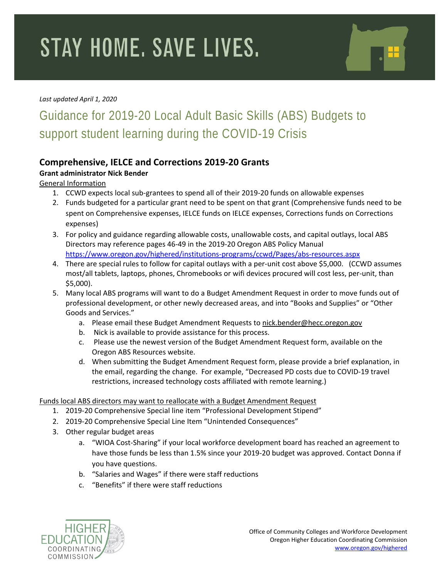# **STAY HOME. SAVE LIVES.**

#### *Last updated April 1, 2020*

### Guidance for 2019-20 Local Adult Basic Skills (ABS) Budgets to support student learning during the COVID-19 Crisis

#### **Comprehensive, IELCE and Corrections 2019-20 Grants**

#### **Grant administrator Nick Bender**

General Information

- 1. CCWD expects local sub-grantees to spend all of their 2019-20 funds on allowable expenses
- 2. Funds budgeted for a particular grant need to be spent on that grant (Comprehensive funds need to be spent on Comprehensive expenses, IELCE funds on IELCE expenses, Corrections funds on Corrections expenses)
- 3. For policy and guidance regarding allowable costs, unallowable costs, and capital outlays, local ABS Directors may reference pages 46-49 in the 2019-20 Oregon ABS Policy Manual <https://www.oregon.gov/highered/institutions-programs/ccwd/Pages/abs-resources.aspx>
- 4. There are special rules to follow for capital outlays with a per-unit cost above \$5,000. (CCWD assumes most/all tablets, laptops, phones, Chromebooks or wifi devices procured will cost less, per-unit, than \$5,000).
- 5. Many local ABS programs will want to do a Budget Amendment Request in order to move funds out of professional development, or other newly decreased areas, and into "Books and Supplies" or "Other Goods and Services."
	- a. Please email these Budget Amendment Requests to [nick.bender@hecc.oregon.gov](mailto:nick.bender@hecc.oregon.gov)
	- b. Nick is available to provide assistance for this process.
	- c. Please use the newest version of the Budget Amendment Request form, available on the Oregon ABS Resources website.
	- d. When submitting the Budget Amendment Request form, please provide a brief explanation, in the email, regarding the change. For example, "Decreased PD costs due to COVID-19 travel restrictions, increased technology costs affiliated with remote learning.)

#### Funds local ABS directors may want to reallocate with a Budget Amendment Request

- 1. 2019-20 Comprehensive Special line item "Professional Development Stipend"
- 2. 2019-20 Comprehensive Special Line Item "Unintended Consequences"
- 3. Other regular budget areas
	- a. "WIOA Cost-Sharing" if your local workforce development board has reached an agreement to have those funds be less than 1.5% since your 2019-20 budget was approved. Contact Donna if you have questions.
	- b. "Salaries and Wages" if there were staff reductions
	- c. "Benefits" if there were staff reductions